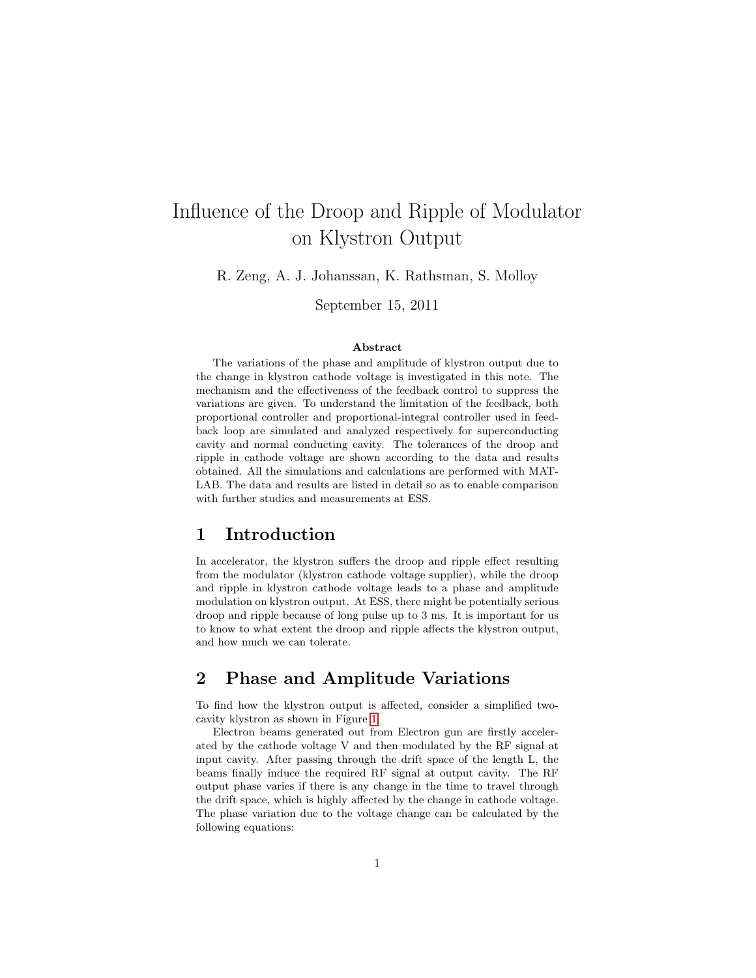# Influence of the Droop and Ripple of Modulator on Klystron Output

R. Zeng, A. J. Johanssan, K. Rathsman, S. Molloy

September 15, 2011

#### Abstract

The variations of the phase and amplitude of klystron output due to the change in klystron cathode voltage is investigated in this note. The mechanism and the effectiveness of the feedback control to suppress the variations are given. To understand the limitation of the feedback, both proportional controller and proportional-integral controller used in feedback loop are simulated and analyzed respectively for superconducting cavity and normal conducting cavity. The tolerances of the droop and ripple in cathode voltage are shown according to the data and results obtained. All the simulations and calculations are performed with MAT-LAB. The data and results are listed in detail so as to enable comparison with further studies and measurements at ESS.

## 1 Introduction

In accelerator, the klystron suffers the droop and ripple effect resulting from the modulator (klystron cathode voltage supplier), while the droop and ripple in klystron cathode voltage leads to a phase and amplitude modulation on klystron output. At ESS, there might be potentially serious droop and ripple because of long pulse up to 3 ms. It is important for us to know to what extent the droop and ripple affects the klystron output, and how much we can tolerate.

## 2 Phase and Amplitude Variations

To find how the klystron output is affected, consider a simplified twocavity klystron as shown in Figure [1.](#page-1-0)

Electron beams generated out from Electron gun are firstly accelerated by the cathode voltage V and then modulated by the RF signal at input cavity. After passing through the drift space of the length L, the beams finally induce the required RF signal at output cavity. The RF output phase varies if there is any change in the time to travel through the drift space, which is highly affected by the change in cathode voltage. The phase variation due to the voltage change can be calculated by the following equations: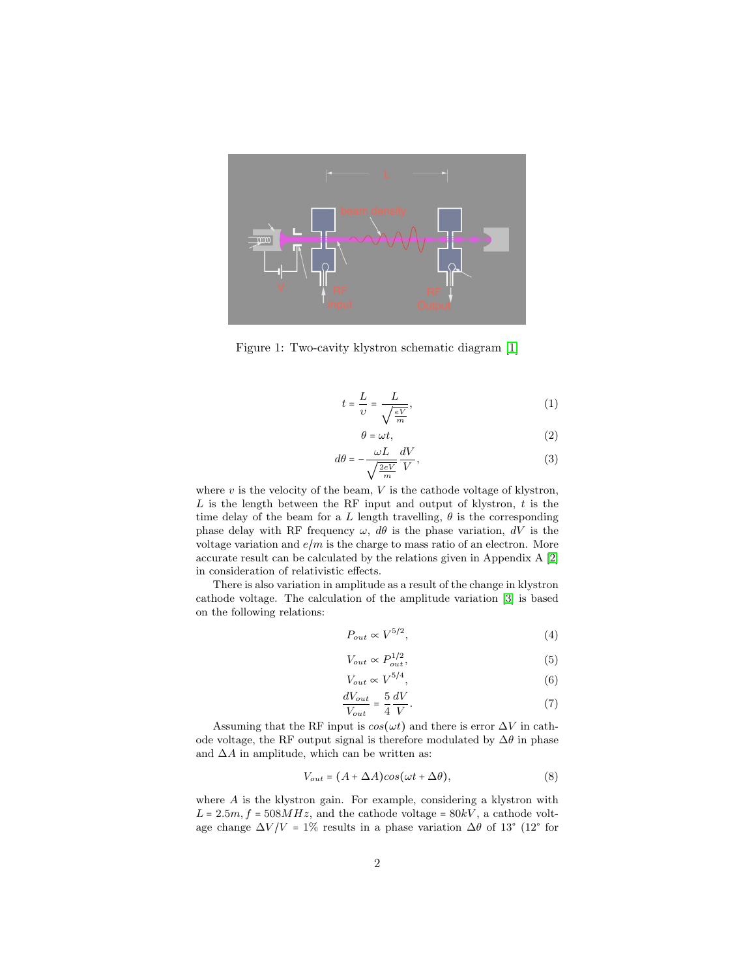

<span id="page-1-0"></span>Figure 1: Two-cavity klystron schematic diagram [\[1\]](#page-14-0)

$$
t = \frac{L}{\upsilon} = \frac{L}{\sqrt{\frac{eV}{m}}},\tag{1}
$$

$$
\theta = \omega t, \tag{2}
$$

$$
d\theta = -\frac{\omega L}{\sqrt{\frac{2eV}{m}}} \frac{dV}{V},\tag{3}
$$

where  $v$  is the velocity of the beam,  $V$  is the cathode voltage of klystron,  $L$  is the length between the RF input and output of klystron,  $t$  is the time delay of the beam for a L length travelling,  $\theta$  is the corresponding phase delay with RF frequency  $\omega$ ,  $d\theta$  is the phase variation,  $dV$  is the voltage variation and  $e/m$  is the charge to mass ratio of an electron. More accurate result can be calculated by the relations given in Appendix A [\[2\]](#page-14-1) in consideration of relativistic effects.

There is also variation in amplitude as a result of the change in klystron cathode voltage. The calculation of the amplitude variation [\[3\]](#page-14-2) is based on the following relations:

$$
P_{out} \propto V^{5/2},\tag{4}
$$

$$
V_{out} \propto P_{out}^{1/2},\tag{5}
$$

$$
V_{out} \propto V^{5/4},\tag{6}
$$

$$
\frac{dV_{out}}{V_{out}} = \frac{5}{4} \frac{dV}{V}.
$$
\n(7)

Assuming that the RF input is  $cos(\omega t)$  and there is error  $\Delta V$  in cathode voltage, the RF output signal is therefore modulated by  $\Delta\theta$  in phase and  $\Delta A$  in amplitude, which can be written as:

$$
V_{out} = (A + \Delta A)\cos(\omega t + \Delta \theta),\tag{8}
$$

where  $A$  is the klystron gain. For example, considering a klystron with  $L = 2.5m$ ,  $f = 508MHz$ , and the cathode voltage =  $80kV$ , a cathode voltage change  $\Delta V/V = 1\%$  results in a phase variation  $\Delta\theta$  of 13° (12° for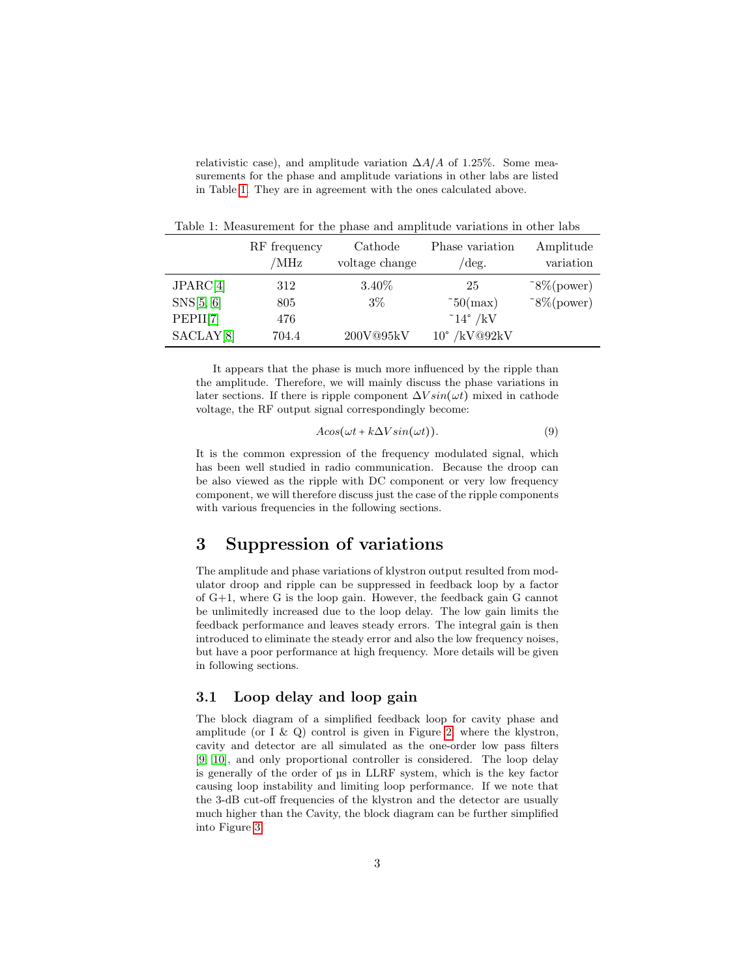relativistic case), and amplitude variation  $\Delta A/A$  of 1.25%. Some measurements for the phase and amplitude variations in other labs are listed in Table [1.](#page-2-0) They are in agreement with the ones calculated above.

<span id="page-2-0"></span>Table 1: Measurement for the phase and amplitude variations in other labs

|           | RF frequency | Cathode        | Phase variation       | Amplitude               |
|-----------|--------------|----------------|-----------------------|-------------------------|
|           | /MHz         | voltage change | $/\text{deg.}$        | variation               |
| JPARC[4]  | 312          | $3.40\%$       | -25                   | $\tilde{g}^8\$ (power)  |
| SNS[5, 6] | 805          | $3\%$          | $\tilde{b}$ 50(max)   | $\tilde{g}^8/6$ (power) |
| PEPII[7]  | 476          |                | $\degree$ 14° /kV     |                         |
| SACLAY[8] | 704.4        | 200V@95kV      | $10^{\circ}$ /kV@92kV |                         |

It appears that the phase is much more influenced by the ripple than the amplitude. Therefore, we will mainly discuss the phase variations in later sections. If there is ripple component  $\Delta V \sin(\omega t)$  mixed in cathode voltage, the RF output signal correspondingly become:

$$
A\cos(\omega t + k\Delta V\sin(\omega t)).\tag{9}
$$

It is the common expression of the frequency modulated signal, which has been well studied in radio communication. Because the droop can be also viewed as the ripple with DC component or very low frequency component, we will therefore discuss just the case of the ripple components with various frequencies in the following sections.

## 3 Suppression of variations

The amplitude and phase variations of klystron output resulted from modulator droop and ripple can be suppressed in feedback loop by a factor of G+1, where G is the loop gain. However, the feedback gain G cannot be unlimitedly increased due to the loop delay. The low gain limits the feedback performance and leaves steady errors. The integral gain is then introduced to eliminate the steady error and also the low frequency noises, but have a poor performance at high frequency. More details will be given in following sections.

#### 3.1 Loop delay and loop gain

The block diagram of a simplified feedback loop for cavity phase and amplitude (or I  $\&$  Q) control is given in Figure [2,](#page-3-0) where the klystron, cavity and detector are all simulated as the one-order low pass filters [\[9,](#page-15-5) [10\]](#page-15-6), and only proportional controller is considered. The loop delay is generally of the order of µs in LLRF system, which is the key factor causing loop instability and limiting loop performance. If we note that the 3-dB cut-off frequencies of the klystron and the detector are usually much higher than the Cavity, the block diagram can be further simplified into Figure [3.](#page-3-1)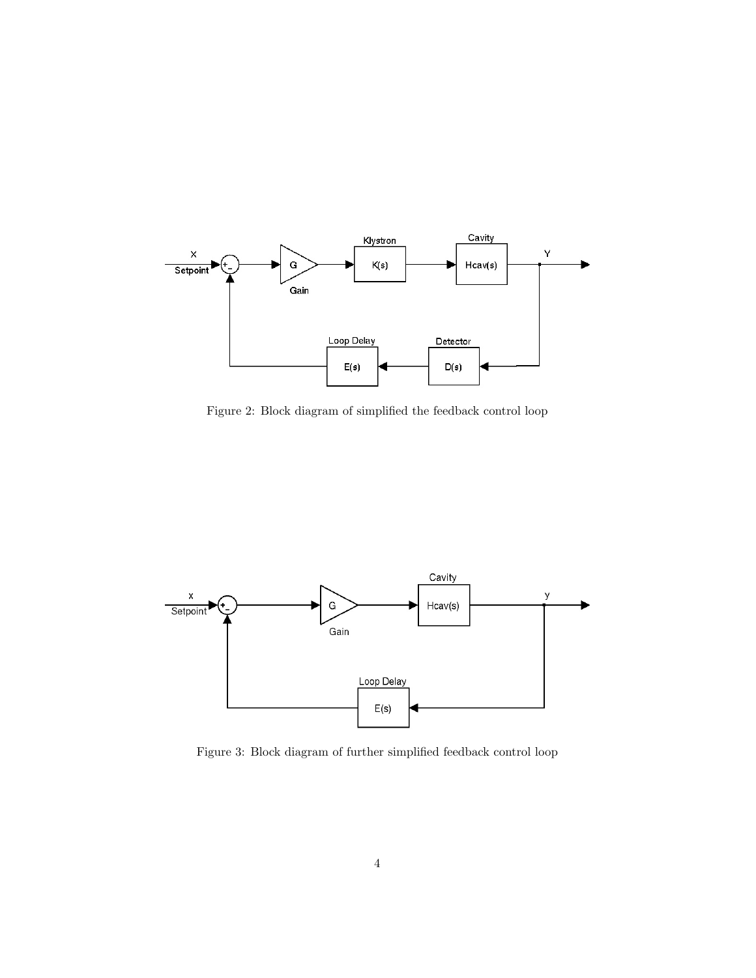

<span id="page-3-0"></span>Figure 2: Block diagram of simplified the feedback control loop



<span id="page-3-1"></span>Figure 3: Block diagram of further simplified feedback control loop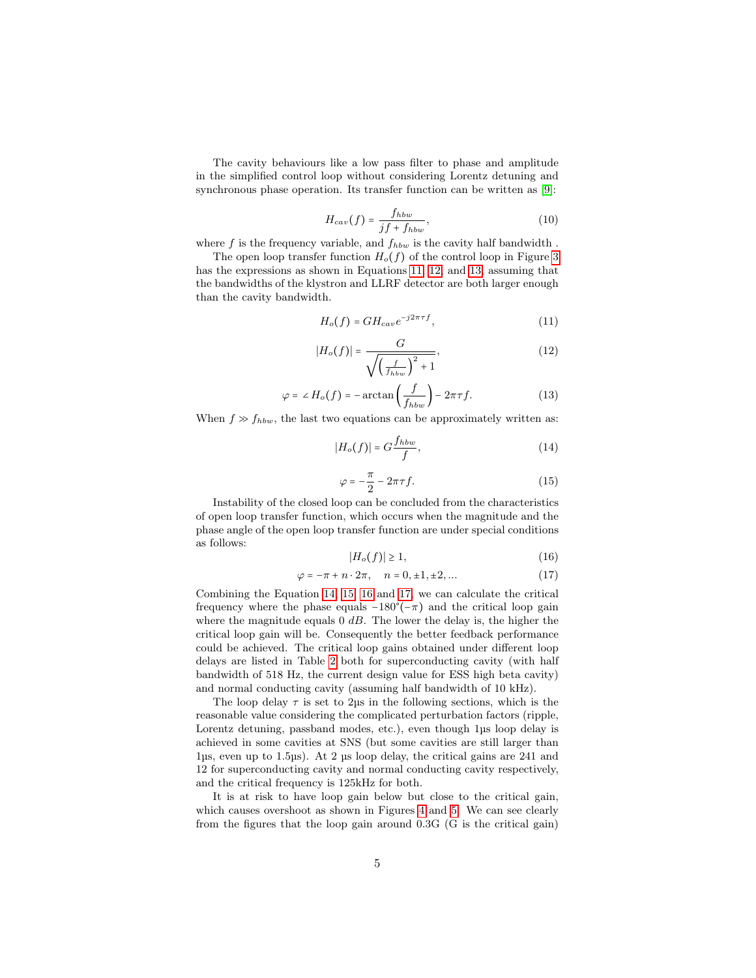The cavity behaviours like a low pass filter to phase and amplitude in the simplified control loop without considering Lorentz detuning and synchronous phase operation. Its transfer function can be written as [\[9\]](#page-15-5):

$$
H_{cav}(f) = \frac{f_{hbw}}{jf + f_{hbw}},\tag{10}
$$

where f is the frequency variable, and  $f_{hbw}$  is the cavity half bandwidth.

The open loop transfer function  $H_o(f)$  of the control loop in Figure [3](#page-3-1) has the expressions as shown in Equations [11,](#page-4-0) [12,](#page-4-1) and [13,](#page-4-2) assuming that the bandwidths of the klystron and LLRF detector are both larger enough than the cavity bandwidth.

<span id="page-4-0"></span>
$$
H_o(f) = GH_{cav}e^{-j2\pi\tau f},\tag{11}
$$

<span id="page-4-1"></span>
$$
|H_o(f)| = \frac{G}{\sqrt{\left(\frac{f}{f_{hbw}}\right)^2 + 1}},\tag{12}
$$

<span id="page-4-2"></span>
$$
\varphi = \angle H_o(f) = -\arctan\left(\frac{f}{f_{hbw}}\right) - 2\pi\tau f.
$$
\n(13)

When  $f \gg f_{hbw}$ , the last two equations can be approximately written as:

<span id="page-4-3"></span>
$$
|H_o(f)| = G \frac{f_{hbw}}{f},\tag{14}
$$

<span id="page-4-4"></span>
$$
\varphi = -\frac{\pi}{2} - 2\pi\tau f. \tag{15}
$$

Instability of the closed loop can be concluded from the characteristics of open loop transfer function, which occurs when the magnitude and the phase angle of the open loop transfer function are under special conditions as follows:

<span id="page-4-5"></span>
$$
|H_o(f)| \ge 1,\tag{16}
$$

<span id="page-4-6"></span>
$$
\varphi = -\pi + n \cdot 2\pi, \quad n = 0, \pm 1, \pm 2, \dots \tag{17}
$$

Combining the Equation [14,](#page-4-3) [15,](#page-4-4) [16](#page-4-5) and [17,](#page-4-6) we can calculate the critical frequency where the phase equals  $-180^{\circ}(-\pi)$  and the critical loop gain where the magnitude equals  $0$  dB. The lower the delay is, the higher the critical loop gain will be. Consequently the better feedback performance could be achieved. The critical loop gains obtained under different loop delays are listed in Table [2](#page-5-0) both for superconducting cavity (with half bandwidth of 518 Hz, the current design value for ESS high beta cavity) and normal conducting cavity (assuming half bandwidth of 10 kHz).

The loop delay  $\tau$  is set to 2ps in the following sections, which is the reasonable value considering the complicated perturbation factors (ripple, Lorentz detuning, passband modes, etc.), even though 1µs loop delay is achieved in some cavities at SNS (but some cavities are still larger than 1µs, even up to 1.5µs). At 2 µs loop delay, the critical gains are 241 and 12 for superconducting cavity and normal conducting cavity respectively, and the critical frequency is 125kHz for both.

It is at risk to have loop gain below but close to the critical gain, which causes overshoot as shown in Figures [4](#page-6-0) and [5.](#page-6-1) We can see clearly from the figures that the loop gain around 0.3G (G is the critical gain)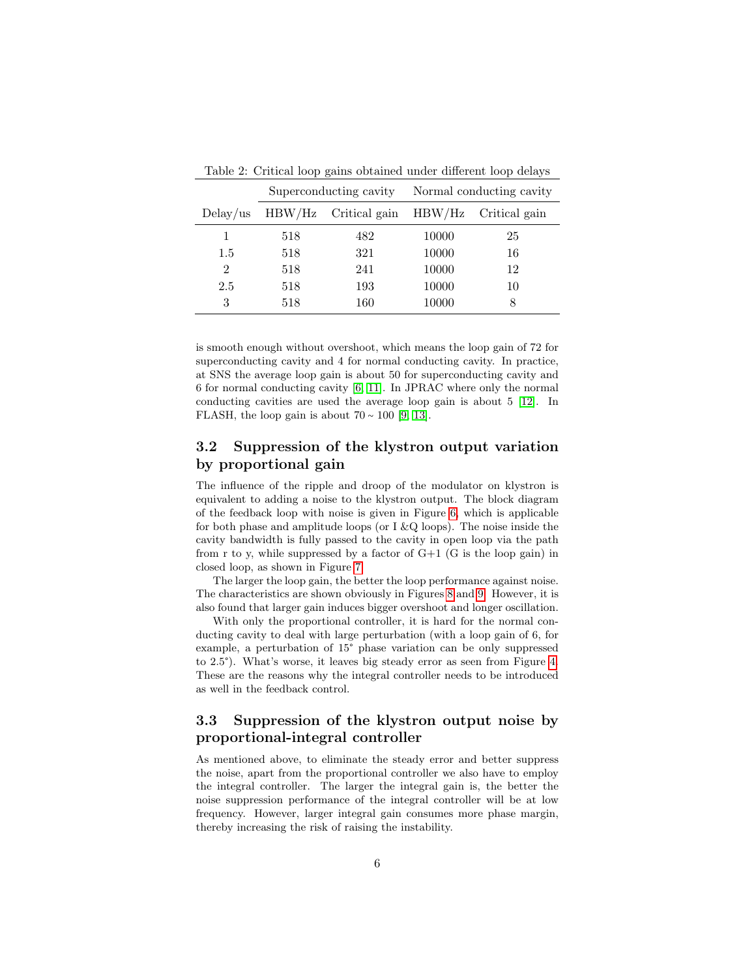| Table 2. Critical loop game obtained ander different loop delays |                        |               |                          |               |
|------------------------------------------------------------------|------------------------|---------------|--------------------------|---------------|
|                                                                  | Superconducting cavity |               | Normal conducting cavity |               |
| $Delay$ /us                                                      | HBW/Hz                 | Critical gain | HBW/Hz                   | Critical gain |
| 1                                                                | 518                    | 482           | 10000                    | 25            |
| 1.5                                                              | 518                    | 321           | 10000                    | 16            |
| $\overline{2}$                                                   | 518                    | 241           | 10000                    | 12            |
| 2.5                                                              | 518                    | 193           | 10000                    | 10            |
| 3                                                                | 518                    | 160           | 10000                    | 8             |

<span id="page-5-0"></span>Table 2: Critical loop gains obtained under different loop delays

is smooth enough without overshoot, which means the loop gain of 72 for superconducting cavity and 4 for normal conducting cavity. In practice, at SNS the average loop gain is about 50 for superconducting cavity and 6 for normal conducting cavity [\[6,](#page-15-2) [11\]](#page-15-7). In JPRAC where only the normal conducting cavities are used the average loop gain is about 5 [\[12\]](#page-15-8). In FLASH, the loop gain is about  $70 \sim 100$  [\[9,](#page-15-5) [13\]](#page-15-9).

### 3.2 Suppression of the klystron output variation by proportional gain

The influence of the ripple and droop of the modulator on klystron is equivalent to adding a noise to the klystron output. The block diagram of the feedback loop with noise is given in Figure [6,](#page-7-0) which is applicable for both phase and amplitude loops (or I  $\&\text{Q}$  loops). The noise inside the cavity bandwidth is fully passed to the cavity in open loop via the path from r to y, while suppressed by a factor of  $G+1$  (G is the loop gain) in closed loop, as shown in Figure [7.](#page-7-1)

The larger the loop gain, the better the loop performance against noise. The characteristics are shown obviously in Figures [8](#page-8-0) and [9.](#page-8-1) However, it is also found that larger gain induces bigger overshoot and longer oscillation.

With only the proportional controller, it is hard for the normal conducting cavity to deal with large perturbation (with a loop gain of 6, for example, a perturbation of 15° phase variation can be only suppressed to 2.5°). What's worse, it leaves big steady error as seen from Figure [4.](#page-6-0) These are the reasons why the integral controller needs to be introduced as well in the feedback control.

#### 3.3 Suppression of the klystron output noise by proportional-integral controller

As mentioned above, to eliminate the steady error and better suppress the noise, apart from the proportional controller we also have to employ the integral controller. The larger the integral gain is, the better the noise suppression performance of the integral controller will be at low frequency. However, larger integral gain consumes more phase margin, thereby increasing the risk of raising the instability.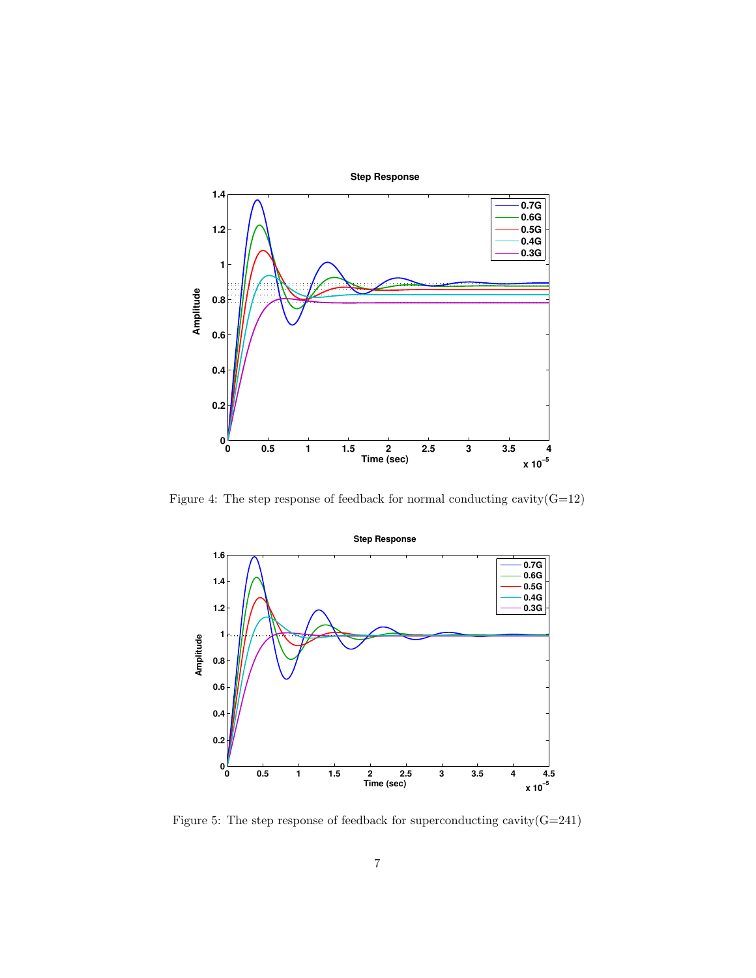

<span id="page-6-0"></span>Figure 4: The step response of feedback for normal conducting cavity( $G=12$ )



<span id="page-6-1"></span>Figure 5: The step response of feedback for superconducting cavity(G=241)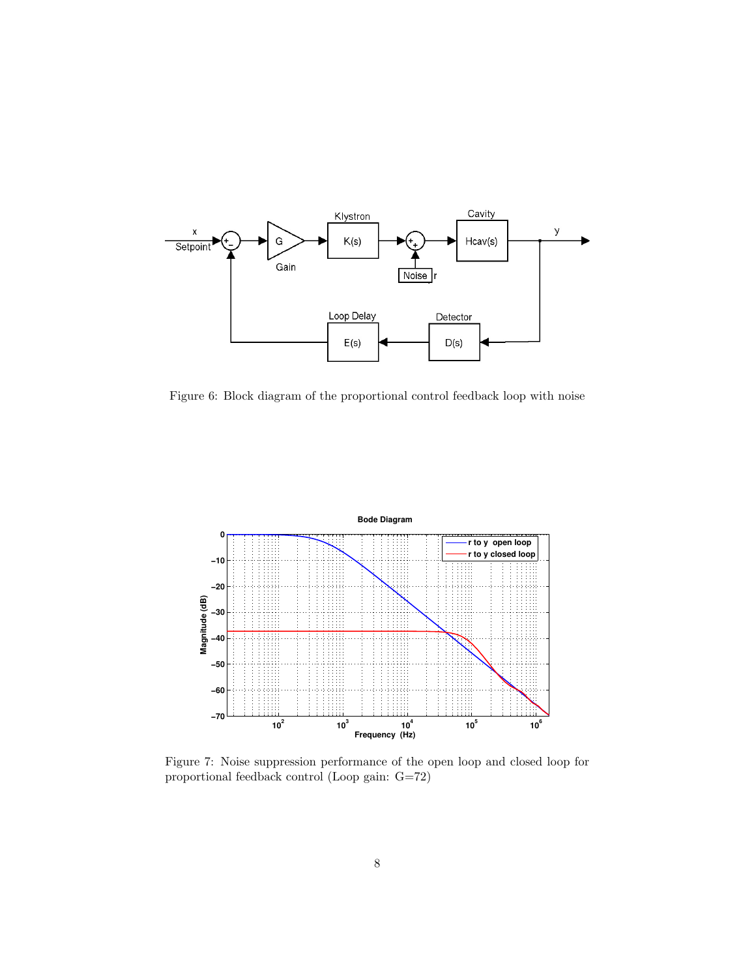

<span id="page-7-0"></span>Figure 6: Block diagram of the proportional control feedback loop with noise



<span id="page-7-1"></span>Figure 7: Noise suppression performance of the open loop and closed loop for proportional feedback control (Loop gain: G=72)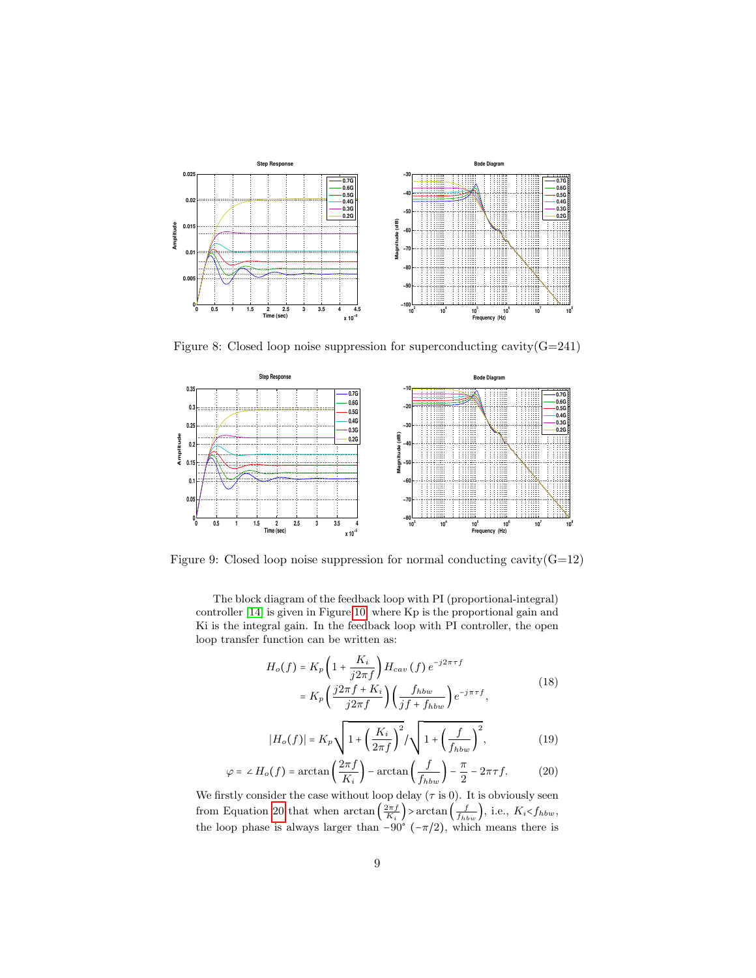

<span id="page-8-0"></span>Figure 8: Closed loop noise suppression for superconducting cavity $(G=241)$ 



Figure 9: Closed loop noise suppression for normal conducting cavity  $(G=12)$ 

<span id="page-8-1"></span>The block diagram of the feedback loop with PI (proportional-integral) controller [\[14\]](#page-15-10) is given in Figure [10,](#page-9-0) where Kp is the proportional gain and Ki is the integral gain. In the feedback loop with PI controller, the open loop transfer function can be written as:

$$
H_o(f) = K_p \left( 1 + \frac{K_i}{j2\pi f} \right) H_{cav}(f) e^{-j2\pi\tau f}
$$
  
= 
$$
K_p \left( \frac{j2\pi f + K_i}{j2\pi f} \right) \left( \frac{f_{hbw}}{jf + f_{hbw}} \right) e^{-j\pi\tau f},
$$
 (18)

$$
|H_o(f)| = K_p \sqrt{1 + \left(\frac{K_i}{2\pi f}\right)^2} / \sqrt{1 + \left(\frac{f}{f_{hbw}}\right)^2},
$$
 (19)

<span id="page-8-2"></span>
$$
\varphi = \angle H_o(f) = \arctan\left(\frac{2\pi f}{K_i}\right) - \arctan\left(\frac{f}{f_{hbw}}\right) - \frac{\pi}{2} - 2\pi\tau f. \tag{20}
$$

We firstly consider the case without loop delay  $(\tau \text{ is } 0)$ . It is obviously seen from Equation [20](#page-8-2) that when  $\arctan\left(\frac{2\pi f}{K_i}\right)$  >  $\arctan\left(\frac{f}{f_{hbw}}\right)$ , i.e.,  $K_i < f_{hbw}$ , the loop phase is always larger than  $-90^{\circ}$  ( $-\pi/2$ ), which means there is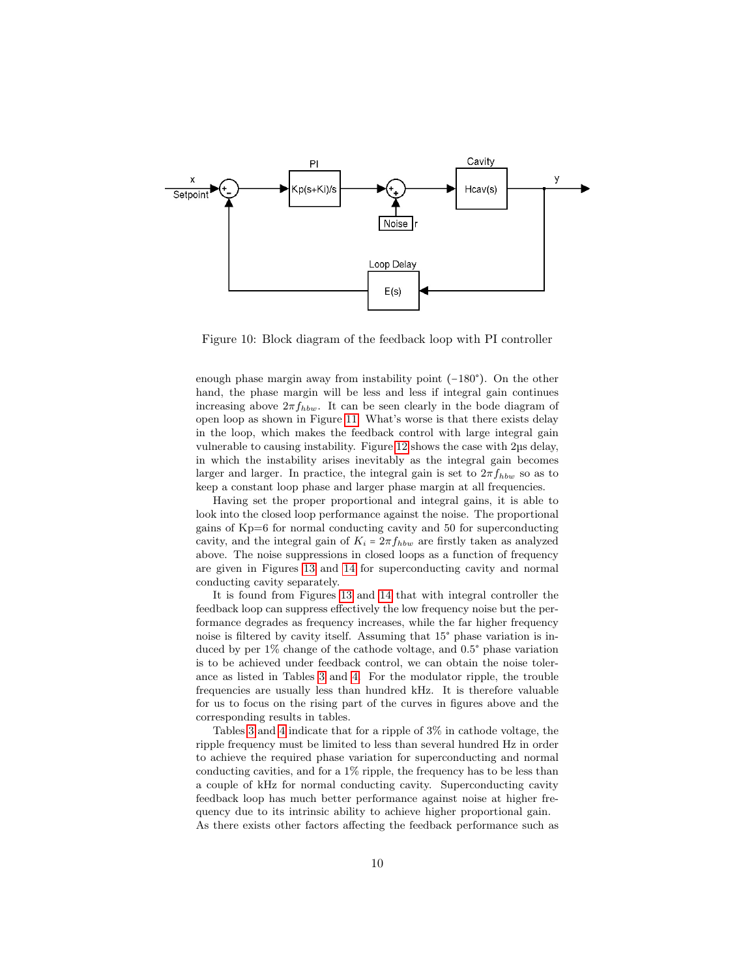

<span id="page-9-0"></span>Figure 10: Block diagram of the feedback loop with PI controller

enough phase margin away from instability point (−180°). On the other hand, the phase margin will be less and less if integral gain continues increasing above  $2\pi f_{hbw}$ . It can be seen clearly in the bode diagram of open loop as shown in Figure [11.](#page-10-0) What's worse is that there exists delay in the loop, which makes the feedback control with large integral gain vulnerable to causing instability. Figure [12](#page-10-1) shows the case with 2µs delay, in which the instability arises inevitably as the integral gain becomes larger and larger. In practice, the integral gain is set to  $2\pi f_{hbw}$  so as to keep a constant loop phase and larger phase margin at all frequencies.

Having set the proper proportional and integral gains, it is able to look into the closed loop performance against the noise. The proportional gains of Kp=6 for normal conducting cavity and 50 for superconducting cavity, and the integral gain of  $K_i = 2\pi f_{hbw}$  are firstly taken as analyzed above. The noise suppressions in closed loops as a function of frequency are given in Figures [13](#page-11-0) and [14](#page-11-1) for superconducting cavity and normal conducting cavity separately.

It is found from Figures [13](#page-11-0) and [14](#page-11-1) that with integral controller the feedback loop can suppress effectively the low frequency noise but the performance degrades as frequency increases, while the far higher frequency noise is filtered by cavity itself. Assuming that 15° phase variation is induced by per 1% change of the cathode voltage, and 0.5° phase variation is to be achieved under feedback control, we can obtain the noise tolerance as listed in Tables [3](#page-12-0) and [4.](#page-12-1) For the modulator ripple, the trouble frequencies are usually less than hundred kHz. It is therefore valuable for us to focus on the rising part of the curves in figures above and the corresponding results in tables.

Tables [3](#page-12-0) and [4](#page-12-1) indicate that for a ripple of 3% in cathode voltage, the ripple frequency must be limited to less than several hundred Hz in order to achieve the required phase variation for superconducting and normal conducting cavities, and for a 1% ripple, the frequency has to be less than a couple of kHz for normal conducting cavity. Superconducting cavity feedback loop has much better performance against noise at higher frequency due to its intrinsic ability to achieve higher proportional gain. As there exists other factors affecting the feedback performance such as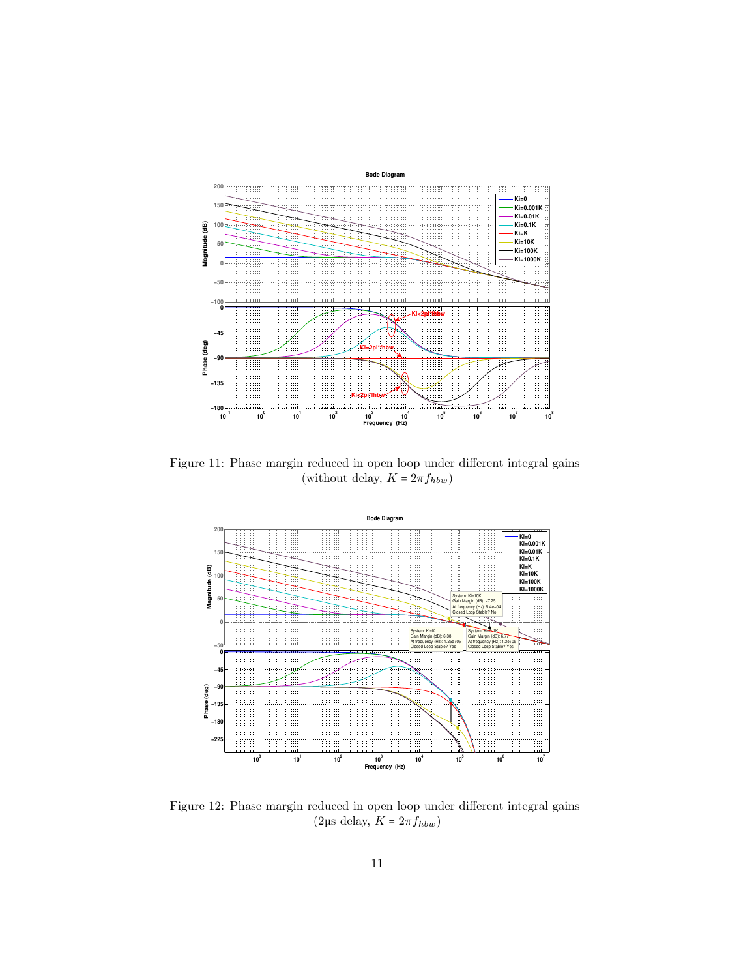

<span id="page-10-0"></span>Figure 11: Phase margin reduced in open loop under different integral gains (without delay,  $K = 2\pi f_{hbw}$ )



<span id="page-10-1"></span>Figure 12: Phase margin reduced in open loop under different integral gains (2µs delay,  $K=2\pi f_{hbw})$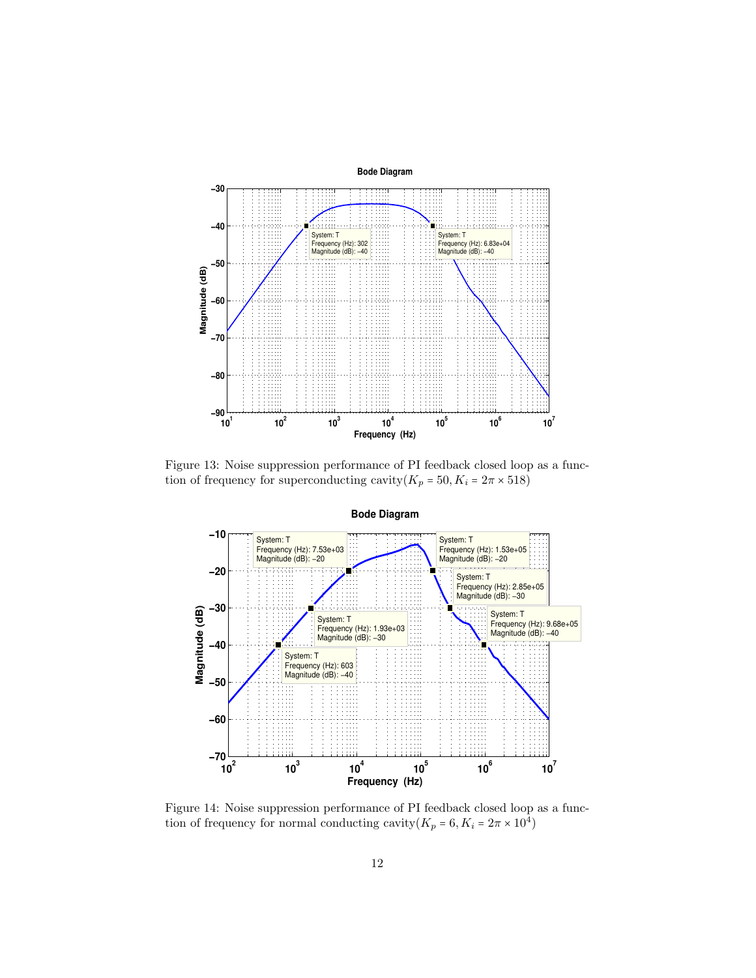

<span id="page-11-0"></span>Figure 13: Noise suppression performance of PI feedback closed loop as a function of frequency for superconducting cavity $(K_p = 50, K_i = 2\pi \times 518)$ 



<span id="page-11-1"></span>Figure 14: Noise suppression performance of PI feedback closed loop as a function of frequency for normal conducting cavity $(K_p = 6, K_i = 2\pi \times 10^4)$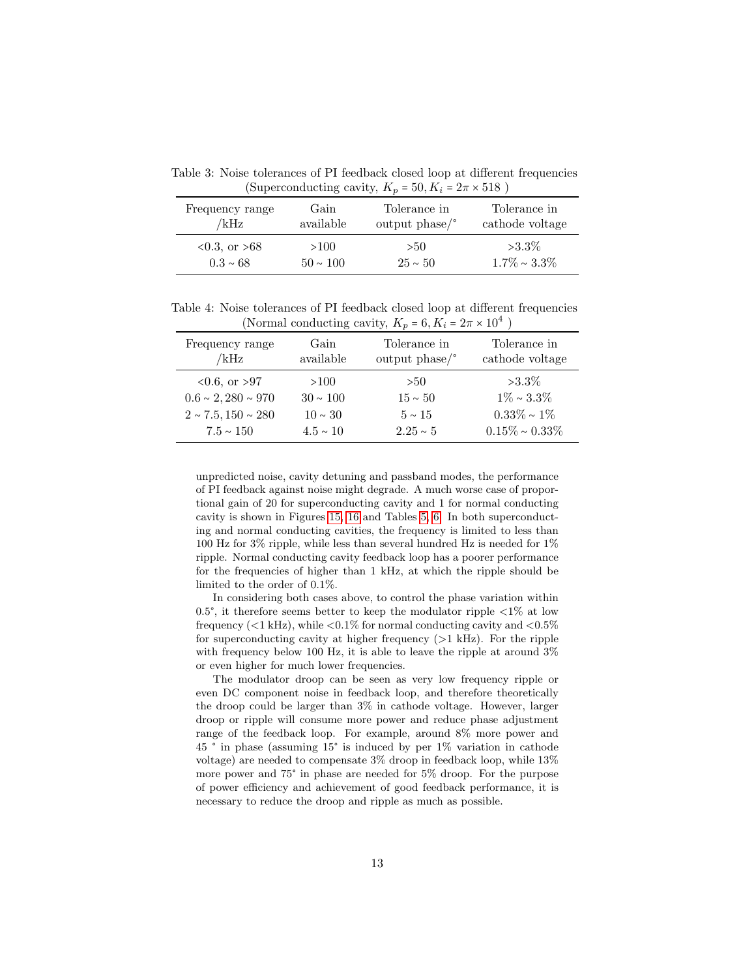<span id="page-12-0"></span>Table 3: Noise tolerances of PI feedback closed loop at different frequencies (Superconducting cavity,  $K_p = 50, K_i = 2\pi \times 518$ )

| Frequency range  | Gain          | Tolerance in   | Tolerance in       |
|------------------|---------------|----------------|--------------------|
| /kHz             | available     | output $phase$ | cathode voltage    |
| $0.3$ , or $>68$ | >100          | >50            | $>3.3\%$           |
| $0.3 \sim 68$    | $50 \sim 100$ | $25 \sim 50$   | $1.7\% \sim 3.3\%$ |

<span id="page-12-1"></span>Table 4: Noise tolerances of PI feedback closed loop at different frequencies (Normal conducting cavity,  $K_p = 6, K_i = 2\pi \times 10^4$ )

| Frequency range<br>/kHz    | Gain<br>available | Tolerance in<br>output $phase$ | Tolerance in<br>cathode voltage |
|----------------------------|-------------------|--------------------------------|---------------------------------|
| $0.6$ , or $>97$           | >100              | >50                            | $>3.3\%$                        |
| $0.6 \sim 2,280 \sim 970$  | $30 \sim 100$     | $15 \sim 50$                   | $1\% \sim 3.3\%$                |
| $2 \sim 7.5, 150 \sim 280$ | $10 \sim 30$      | $5 \sim 15$                    | $0.33\% \sim 1\%$               |
| $7.5 \sim 150$             | $4.5 \sim 10$     | $2.25 \sim 5$                  | $0.15\% \sim 0.33\%$            |

unpredicted noise, cavity detuning and passband modes, the performance of PI feedback against noise might degrade. A much worse case of proportional gain of 20 for superconducting cavity and 1 for normal conducting cavity is shown in Figures [15,](#page-13-0) [16](#page-13-1) and Tables [5,](#page-14-3) [6.](#page-14-4) In both superconducting and normal conducting cavities, the frequency is limited to less than 100 Hz for 3% ripple, while less than several hundred Hz is needed for 1% ripple. Normal conducting cavity feedback loop has a poorer performance for the frequencies of higher than 1 kHz, at which the ripple should be limited to the order of 0.1%.

In considering both cases above, to control the phase variation within 0.5°, it therefore seems better to keep the modulator ripple  $\langle 1\% \rangle$  at low frequency ( $\langle 1 \text{ kHz} \rangle$ , while  $\langle 0.1 \text{\%}$  for normal conducting cavity and  $\langle 0.5 \text{\%} \rangle$ for superconducting cavity at higher frequency  $(>1 \text{ kHz})$ . For the ripple with frequency below 100 Hz, it is able to leave the ripple at around 3% or even higher for much lower frequencies.

The modulator droop can be seen as very low frequency ripple or even DC component noise in feedback loop, and therefore theoretically the droop could be larger than 3% in cathode voltage. However, larger droop or ripple will consume more power and reduce phase adjustment range of the feedback loop. For example, around 8% more power and 45 ° in phase (assuming 15° is induced by per 1% variation in cathode voltage) are needed to compensate 3% droop in feedback loop, while 13% more power and 75° in phase are needed for 5% droop. For the purpose of power efficiency and achievement of good feedback performance, it is necessary to reduce the droop and ripple as much as possible.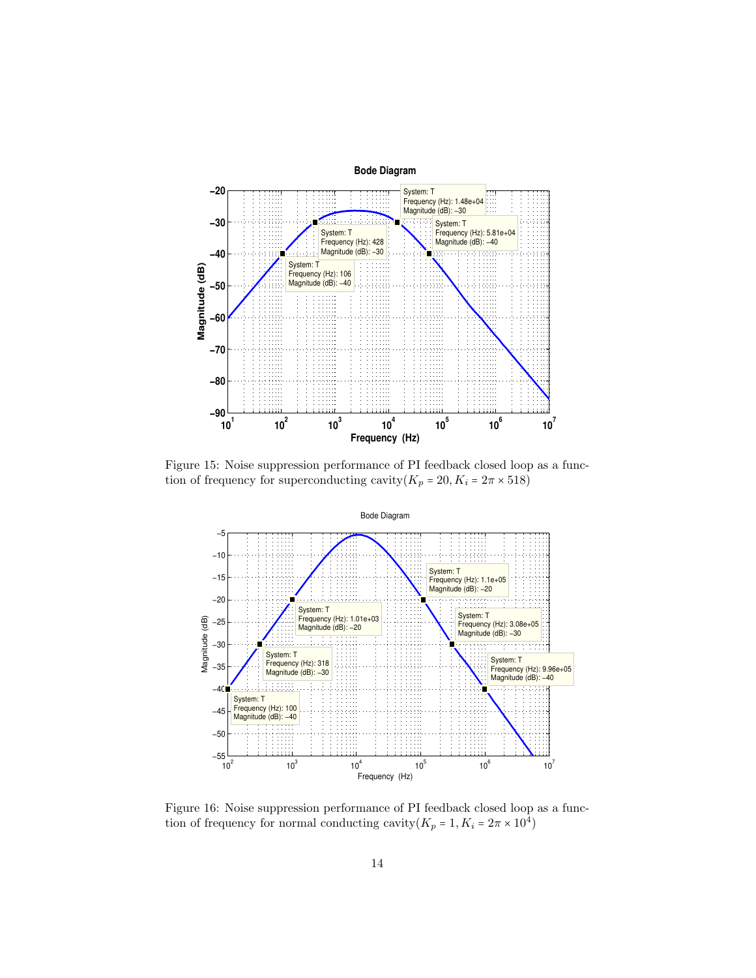

<span id="page-13-0"></span>Figure 15: Noise suppression performance of PI feedback closed loop as a function of frequency for superconducting cavity $(K_p = 20, K_i = 2\pi \times 518)$ 



<span id="page-13-1"></span>Figure 16: Noise suppression performance of PI feedback closed loop as a function of frequency for normal conducting cavity $(K_p = 1, K_i = 2\pi \times 10^4)$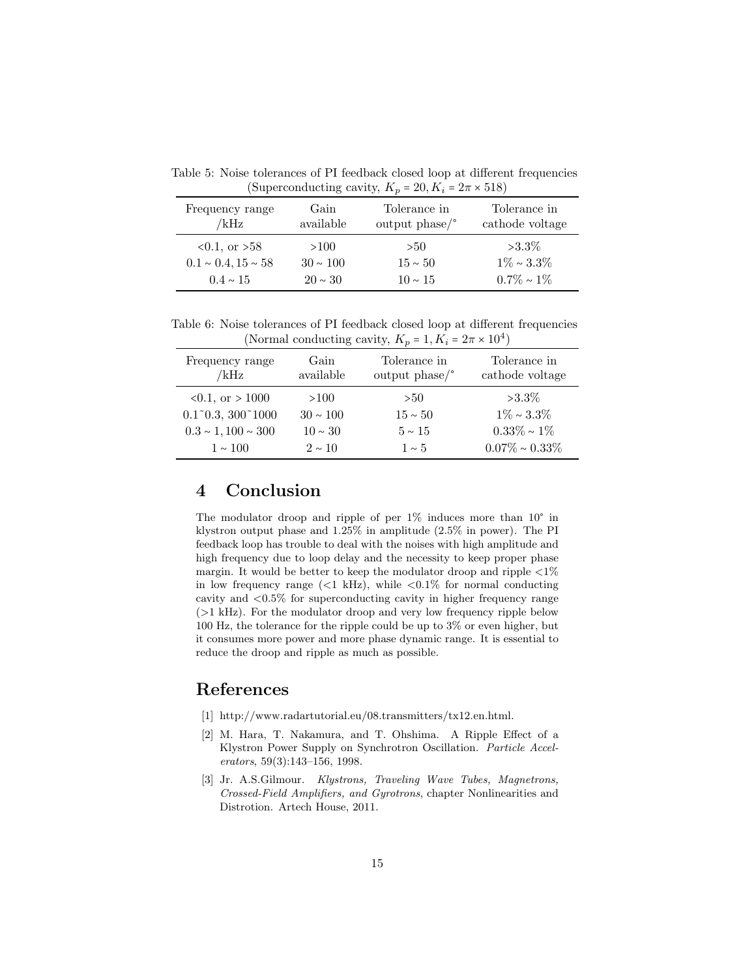<span id="page-14-3"></span>Table 5: Noise tolerances of PI feedback closed loop at different frequencies (Superconducting cavity,  $K_p = 20, K_i = 2\pi \times 518$ )

| Frequency range<br>/kHz    | Gain<br>available | Tolerance in<br>output $phase$ | Tolerance in<br>cathode voltage |
|----------------------------|-------------------|--------------------------------|---------------------------------|
| $0.1$ , or $>58$           | >100              | > 50                           | $>3.3\%$                        |
| $0.1 \sim 0.4, 15 \sim 58$ | $30 \sim 100$     | $15 \sim 50$                   | $1\% \sim 3.3\%$                |
| $0.4 \sim 15$              | $20 \sim 30$      | $10 \sim 15$                   | $0.7\% \sim 1\%$                |

<span id="page-14-4"></span>Table 6: Noise tolerances of PI feedback closed loop at different frequencies (Normal conducting cavity,  $K_p = 1, K_i = 2\pi \times 10^4$ )

| Frequency range                   | Gain          | Tolerance in   | Tolerance in         |
|-----------------------------------|---------------|----------------|----------------------|
| /kHz                              | available     | output $phase$ | cathode voltage      |
| $0.1$ , or $> 1000$               | >100          | >50            | $>3.3\%$             |
| $0.1^{\circ}0.3, 300^{\circ}1000$ | $30 \sim 100$ | $15 \sim 50$   | $1\% \sim 3.3\%$     |
| $0.3 \sim 1,100 \sim 300$         | $10 \sim 30$  | $5 \sim 15$    | $0.33\% \sim 1\%$    |
| $1 \sim 100$                      | $2 \sim 10$   | $1 \sim 5$     | $0.07\% \sim 0.33\%$ |

## 4 Conclusion

The modulator droop and ripple of per 1% induces more than 10° in klystron output phase and 1.25% in amplitude (2.5% in power). The PI feedback loop has trouble to deal with the noises with high amplitude and high frequency due to loop delay and the necessity to keep proper phase margin. It would be better to keep the modulator droop and ripple  $\langle 1\%$ in low frequency range  $(<1 \text{ kHz})$ , while  $<0.1\%$  for normal conducting cavity and <0.5% for superconducting cavity in higher frequency range (>1 kHz). For the modulator droop and very low frequency ripple below 100 Hz, the tolerance for the ripple could be up to 3% or even higher, but it consumes more power and more phase dynamic range. It is essential to reduce the droop and ripple as much as possible.

## References

- <span id="page-14-0"></span>[1] http://www.radartutorial.eu/08.transmitters/tx12.en.html.
- <span id="page-14-1"></span>[2] M. Hara, T. Nakamura, and T. Ohshima. A Ripple Effect of a Klystron Power Supply on Synchrotron Oscillation. Particle Accelerators, 59(3):143–156, 1998.
- <span id="page-14-2"></span>[3] Jr. A.S.Gilmour. Klystrons, Traveling Wave Tubes, Magnetrons, Crossed-Field Amplifiers, and Gyrotrons, chapter Nonlinearities and Distrotion. Artech House, 2011.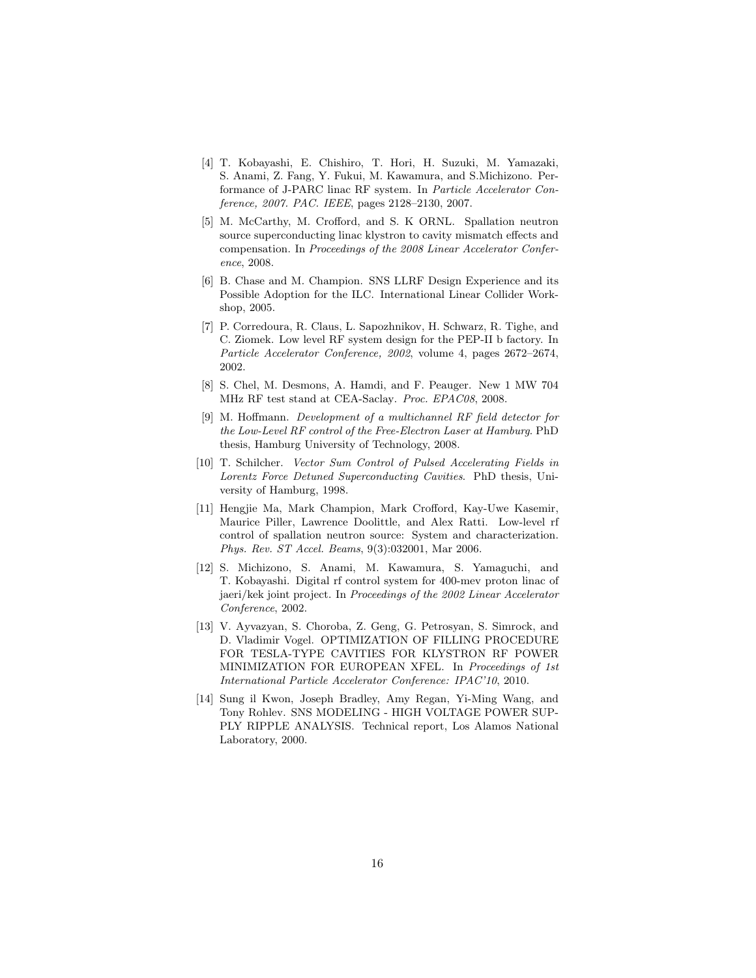- <span id="page-15-0"></span>[4] T. Kobayashi, E. Chishiro, T. Hori, H. Suzuki, M. Yamazaki, S. Anami, Z. Fang, Y. Fukui, M. Kawamura, and S.Michizono. Performance of J-PARC linac RF system. In Particle Accelerator Conference, 2007. PAC. IEEE, pages 2128–2130, 2007.
- <span id="page-15-1"></span>[5] M. McCarthy, M. Crofford, and S. K ORNL. Spallation neutron source superconducting linac klystron to cavity mismatch effects and compensation. In Proceedings of the 2008 Linear Accelerator Conference, 2008.
- <span id="page-15-2"></span>[6] B. Chase and M. Champion. SNS LLRF Design Experience and its Possible Adoption for the ILC. International Linear Collider Workshop, 2005.
- <span id="page-15-3"></span>[7] P. Corredoura, R. Claus, L. Sapozhnikov, H. Schwarz, R. Tighe, and C. Ziomek. Low level RF system design for the PEP-II b factory. In Particle Accelerator Conference, 2002, volume 4, pages 2672–2674, 2002.
- <span id="page-15-4"></span>[8] S. Chel, M. Desmons, A. Hamdi, and F. Peauger. New 1 MW 704 MHz RF test stand at CEA-Saclay. Proc. EPAC08, 2008.
- <span id="page-15-5"></span>[9] M. Hoffmann. Development of a multichannel RF field detector for the Low-Level RF control of the Free-Electron Laser at Hamburg. PhD thesis, Hamburg University of Technology, 2008.
- <span id="page-15-6"></span>[10] T. Schilcher. Vector Sum Control of Pulsed Accelerating Fields in Lorentz Force Detuned Superconducting Cavities. PhD thesis, University of Hamburg, 1998.
- <span id="page-15-7"></span>[11] Hengjie Ma, Mark Champion, Mark Crofford, Kay-Uwe Kasemir, Maurice Piller, Lawrence Doolittle, and Alex Ratti. Low-level rf control of spallation neutron source: System and characterization. Phys. Rev. ST Accel. Beams, 9(3):032001, Mar 2006.
- <span id="page-15-8"></span>[12] S. Michizono, S. Anami, M. Kawamura, S. Yamaguchi, and T. Kobayashi. Digital rf control system for 400-mev proton linac of jaeri/kek joint project. In Proceedings of the 2002 Linear Accelerator Conference, 2002.
- <span id="page-15-9"></span>[13] V. Ayvazyan, S. Choroba, Z. Geng, G. Petrosyan, S. Simrock, and D. Vladimir Vogel. OPTIMIZATION OF FILLING PROCEDURE FOR TESLA-TYPE CAVITIES FOR KLYSTRON RF POWER MINIMIZATION FOR EUROPEAN XFEL. In Proceedings of 1st International Particle Accelerator Conference: IPAC'10, 2010.
- <span id="page-15-10"></span>[14] Sung il Kwon, Joseph Bradley, Amy Regan, Yi-Ming Wang, and Tony Rohlev. SNS MODELING - HIGH VOLTAGE POWER SUP-PLY RIPPLE ANALYSIS. Technical report, Los Alamos National Laboratory, 2000.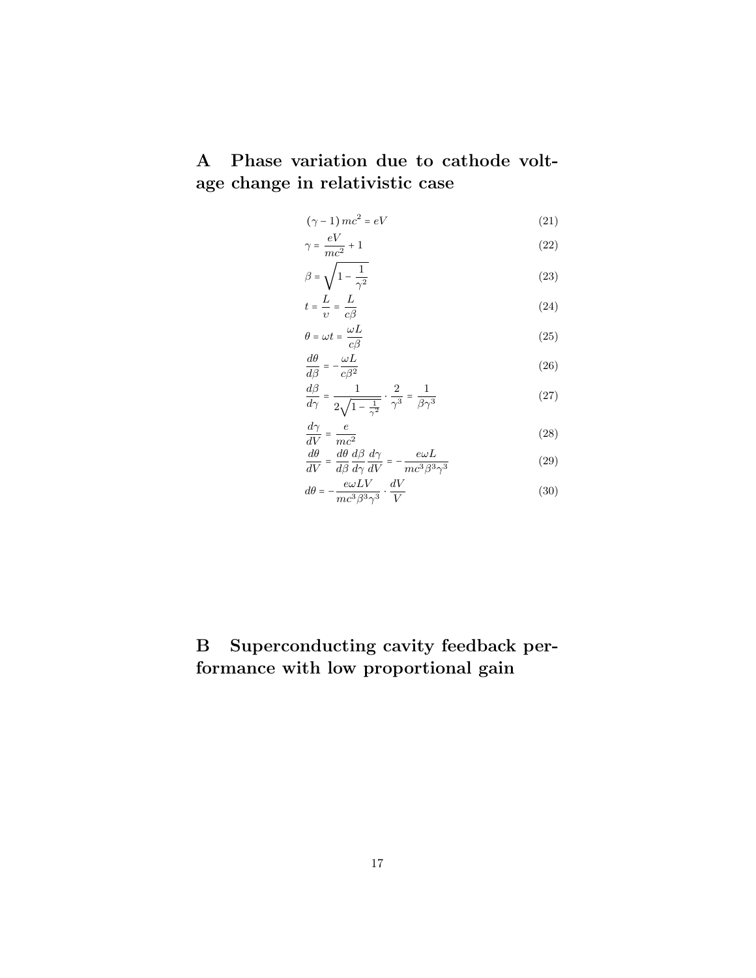A Phase variation due to cathode voltage change in relativistic case

$$
(\gamma - 1)mc^2 = eV \tag{21}
$$

$$
\gamma = \frac{eV}{mc^2} + 1\tag{22}
$$

$$
\beta = \sqrt{1 - \frac{1}{\gamma^2}}\tag{23}
$$

$$
t = \frac{L}{\upsilon} = \frac{L}{c\beta} \tag{24}
$$

$$
\theta = \omega t = \frac{\omega L}{c\beta} \tag{25}
$$

$$
\frac{d\theta}{d\beta} = -\frac{\omega L}{c\beta^2}
$$
\n
$$
\frac{d\beta}{d\beta} = -\frac{1}{2}
$$
\n(26)

$$
\frac{d\rho}{d\gamma} = \frac{1}{2\sqrt{1 - \frac{1}{\gamma^2}}} \cdot \frac{2}{\gamma^3} = \frac{1}{\beta\gamma^3}
$$
(27)

$$
\frac{d\gamma}{dV} = \frac{e}{mc^2}
$$
 (28)

$$
\frac{d\theta}{dV} = \frac{d\theta}{d\beta} \frac{d\beta}{d\gamma} \frac{d\gamma}{dV} = -\frac{e\omega L}{mc^3 \beta^3 \gamma^3}
$$
(29)

$$
d\theta = -\frac{e\omega L V}{mc^3 \beta^3 \gamma^3} \cdot \frac{dV}{V}
$$
 (30)

## B Superconducting cavity feedback performance with low proportional gain